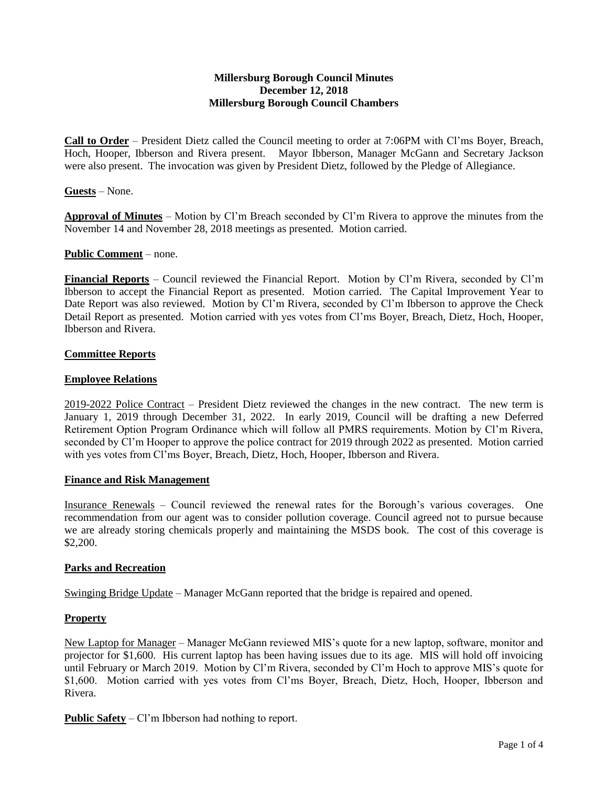## **Millersburg Borough Council Minutes December 12, 2018 Millersburg Borough Council Chambers**

**Call to Order** – President Dietz called the Council meeting to order at 7:06PM with Cl'ms Boyer, Breach, Hoch, Hooper, Ibberson and Rivera present. Mayor Ibberson, Manager McGann and Secretary Jackson were also present. The invocation was given by President Dietz, followed by the Pledge of Allegiance.

## **Guests** – None.

**Approval of Minutes** – Motion by Cl'm Breach seconded by Cl'm Rivera to approve the minutes from the November 14 and November 28, 2018 meetings as presented. Motion carried.

### **Public Comment** – none.

**Financial Reports** – Council reviewed the Financial Report. Motion by Cl'm Rivera, seconded by Cl'm Ibberson to accept the Financial Report as presented. Motion carried. The Capital Improvement Year to Date Report was also reviewed. Motion by Cl'm Rivera, seconded by Cl'm Ibberson to approve the Check Detail Report as presented. Motion carried with yes votes from Cl'ms Boyer, Breach, Dietz, Hoch, Hooper, Ibberson and Rivera.

## **Committee Reports**

### **Employee Relations**

2019-2022 Police Contract – President Dietz reviewed the changes in the new contract. The new term is January 1, 2019 through December 31, 2022. In early 2019, Council will be drafting a new Deferred Retirement Option Program Ordinance which will follow all PMRS requirements. Motion by Cl'm Rivera, seconded by Cl'm Hooper to approve the police contract for 2019 through 2022 as presented. Motion carried with yes votes from Cl'ms Boyer, Breach, Dietz, Hoch, Hooper, Ibberson and Rivera.

#### **Finance and Risk Management**

Insurance Renewals – Council reviewed the renewal rates for the Borough's various coverages. One recommendation from our agent was to consider pollution coverage. Council agreed not to pursue because we are already storing chemicals properly and maintaining the MSDS book. The cost of this coverage is \$2,200.

# **Parks and Recreation**

Swinging Bridge Update – Manager McGann reported that the bridge is repaired and opened.

#### **Property**

New Laptop for Manager – Manager McGann reviewed MIS's quote for a new laptop, software, monitor and projector for \$1,600. His current laptop has been having issues due to its age. MIS will hold off invoicing until February or March 2019. Motion by Cl'm Rivera, seconded by Cl'm Hoch to approve MIS's quote for \$1,600. Motion carried with yes votes from Cl'ms Boyer, Breach, Dietz, Hoch, Hooper, Ibberson and Rivera.

**Public Safety** – Cl'm Ibberson had nothing to report.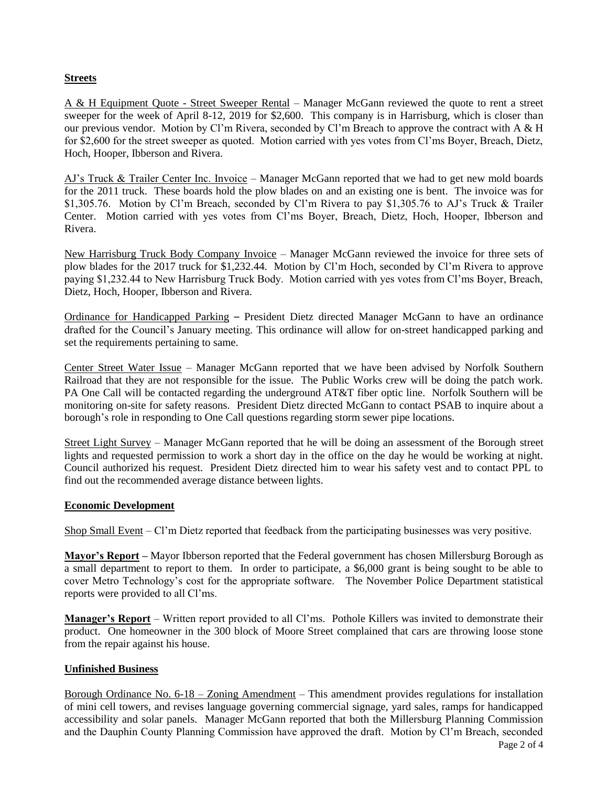# **Streets**

A & H Equipment Quote - Street Sweeper Rental – Manager McGann reviewed the quote to rent a street sweeper for the week of April 8-12, 2019 for \$2,600. This company is in Harrisburg, which is closer than our previous vendor. Motion by Cl'm Rivera, seconded by Cl'm Breach to approve the contract with A & H for \$2,600 for the street sweeper as quoted. Motion carried with yes votes from Cl'ms Boyer, Breach, Dietz, Hoch, Hooper, Ibberson and Rivera.

AJ's Truck & Trailer Center Inc. Invoice – Manager McGann reported that we had to get new mold boards for the 2011 truck. These boards hold the plow blades on and an existing one is bent. The invoice was for \$1,305.76. Motion by Cl'm Breach, seconded by Cl'm Rivera to pay \$1,305.76 to AJ's Truck & Trailer Center. Motion carried with yes votes from Cl'ms Boyer, Breach, Dietz, Hoch, Hooper, Ibberson and Rivera.

New Harrisburg Truck Body Company Invoice – Manager McGann reviewed the invoice for three sets of plow blades for the 2017 truck for \$1,232.44. Motion by Cl'm Hoch, seconded by Cl'm Rivera to approve paying \$1,232.44 to New Harrisburg Truck Body. Motion carried with yes votes from Cl'ms Boyer, Breach, Dietz, Hoch, Hooper, Ibberson and Rivera.

Ordinance for Handicapped Parking – President Dietz directed Manager McGann to have an ordinance drafted for the Council's January meeting. This ordinance will allow for on-street handicapped parking and set the requirements pertaining to same.

Center Street Water Issue – Manager McGann reported that we have been advised by Norfolk Southern Railroad that they are not responsible for the issue. The Public Works crew will be doing the patch work. PA One Call will be contacted regarding the underground AT&T fiber optic line. Norfolk Southern will be monitoring on-site for safety reasons. President Dietz directed McGann to contact PSAB to inquire about a borough's role in responding to One Call questions regarding storm sewer pipe locations.

Street Light Survey – Manager McGann reported that he will be doing an assessment of the Borough street lights and requested permission to work a short day in the office on the day he would be working at night. Council authorized his request. President Dietz directed him to wear his safety vest and to contact PPL to find out the recommended average distance between lights.

# **Economic Development**

Shop Small Event – Cl'm Dietz reported that feedback from the participating businesses was very positive.

**Mayor's Report –** Mayor Ibberson reported that the Federal government has chosen Millersburg Borough as a small department to report to them. In order to participate, a \$6,000 grant is being sought to be able to cover Metro Technology's cost for the appropriate software. The November Police Department statistical reports were provided to all Cl'ms.

**Manager's Report** – Written report provided to all Cl'ms. Pothole Killers was invited to demonstrate their product. One homeowner in the 300 block of Moore Street complained that cars are throwing loose stone from the repair against his house.

# **Unfinished Business**

Borough Ordinance No.  $6-18 - Z$ oning Amendment – This amendment provides regulations for installation of mini cell towers, and revises language governing commercial signage, yard sales, ramps for handicapped accessibility and solar panels. Manager McGann reported that both the Millersburg Planning Commission and the Dauphin County Planning Commission have approved the draft. Motion by Cl'm Breach, seconded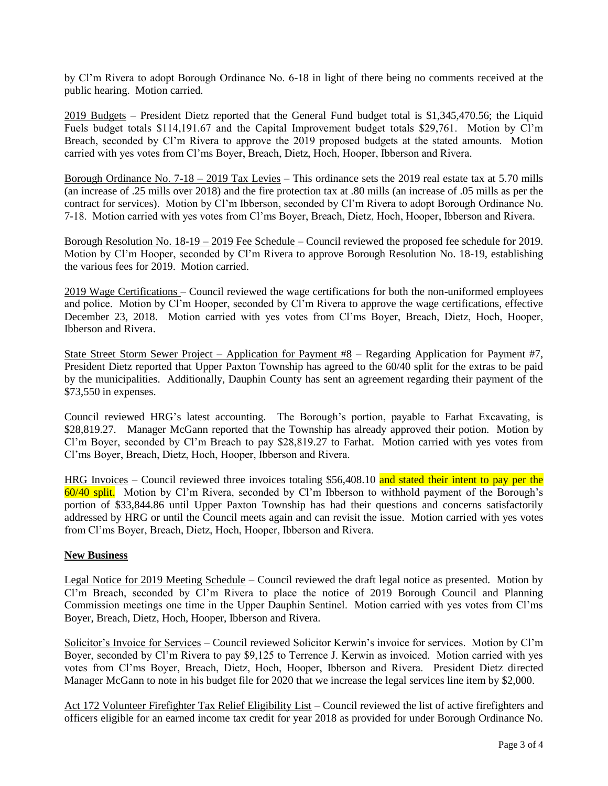by Cl'm Rivera to adopt Borough Ordinance No. 6-18 in light of there being no comments received at the public hearing. Motion carried.

2019 Budgets – President Dietz reported that the General Fund budget total is \$1,345,470.56; the Liquid Fuels budget totals \$114,191.67 and the Capital Improvement budget totals \$29,761. Motion by Cl'm Breach, seconded by Cl'm Rivera to approve the 2019 proposed budgets at the stated amounts. Motion carried with yes votes from Cl'ms Boyer, Breach, Dietz, Hoch, Hooper, Ibberson and Rivera.

Borough Ordinance No. 7-18 – 2019 Tax Levies – This ordinance sets the 2019 real estate tax at 5.70 mills (an increase of .25 mills over 2018) and the fire protection tax at .80 mills (an increase of .05 mills as per the contract for services). Motion by Cl'm Ibberson, seconded by Cl'm Rivera to adopt Borough Ordinance No. 7-18. Motion carried with yes votes from Cl'ms Boyer, Breach, Dietz, Hoch, Hooper, Ibberson and Rivera.

Borough Resolution No. 18-19 – 2019 Fee Schedule – Council reviewed the proposed fee schedule for 2019. Motion by Cl'm Hooper, seconded by Cl'm Rivera to approve Borough Resolution No. 18-19, establishing the various fees for 2019. Motion carried.

2019 Wage Certifications – Council reviewed the wage certifications for both the non-uniformed employees and police. Motion by Cl'm Hooper, seconded by Cl'm Rivera to approve the wage certifications, effective December 23, 2018. Motion carried with yes votes from Cl'ms Boyer, Breach, Dietz, Hoch, Hooper, Ibberson and Rivera.

State Street Storm Sewer Project – Application for Payment #8 – Regarding Application for Payment #7, President Dietz reported that Upper Paxton Township has agreed to the 60/40 split for the extras to be paid by the municipalities. Additionally, Dauphin County has sent an agreement regarding their payment of the \$73,550 in expenses.

Council reviewed HRG's latest accounting. The Borough's portion, payable to Farhat Excavating, is \$28,819.27. Manager McGann reported that the Township has already approved their potion. Motion by Cl'm Boyer, seconded by Cl'm Breach to pay \$28,819.27 to Farhat. Motion carried with yes votes from Cl'ms Boyer, Breach, Dietz, Hoch, Hooper, Ibberson and Rivera.

HRG Invoices – Council reviewed three invoices totaling \$56,408.10 and stated their intent to pay per the 60/40 split. Motion by Cl'm Rivera, seconded by Cl'm Ibberson to withhold payment of the Borough's portion of \$33,844.86 until Upper Paxton Township has had their questions and concerns satisfactorily addressed by HRG or until the Council meets again and can revisit the issue. Motion carried with yes votes from Cl'ms Boyer, Breach, Dietz, Hoch, Hooper, Ibberson and Rivera.

# **New Business**

Legal Notice for 2019 Meeting Schedule – Council reviewed the draft legal notice as presented. Motion by Cl'm Breach, seconded by Cl'm Rivera to place the notice of 2019 Borough Council and Planning Commission meetings one time in the Upper Dauphin Sentinel. Motion carried with yes votes from Cl'ms Boyer, Breach, Dietz, Hoch, Hooper, Ibberson and Rivera.

Solicitor's Invoice for Services – Council reviewed Solicitor Kerwin's invoice for services. Motion by Cl'm Boyer, seconded by Cl'm Rivera to pay \$9,125 to Terrence J. Kerwin as invoiced. Motion carried with yes votes from Cl'ms Boyer, Breach, Dietz, Hoch, Hooper, Ibberson and Rivera. President Dietz directed Manager McGann to note in his budget file for 2020 that we increase the legal services line item by \$2,000.

Act 172 Volunteer Firefighter Tax Relief Eligibility List – Council reviewed the list of active firefighters and officers eligible for an earned income tax credit for year 2018 as provided for under Borough Ordinance No.